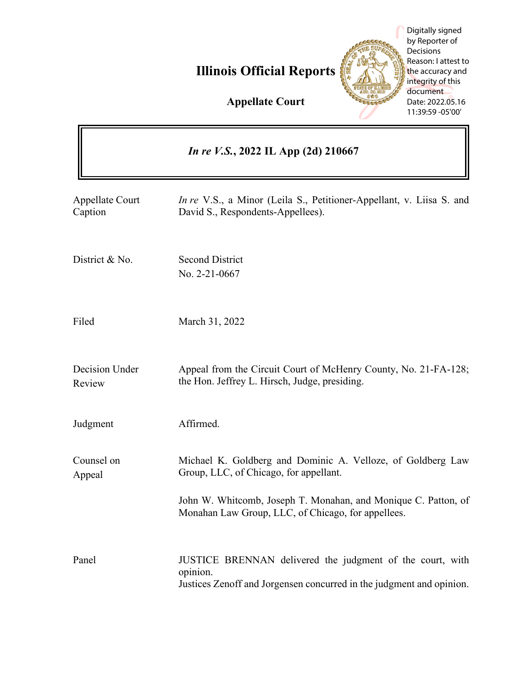# **Illinois Official Reports**



Digitally signed by Reporter of Decisions Reason: I attest to the accuracy and integrity of this document Date: 2022.05.16 11:39:59 -05'00'

**Appellate Court**

| <i>In re V.S.</i> , 2022 IL App (2d) 210667 |                                                                                                                                               |
|---------------------------------------------|-----------------------------------------------------------------------------------------------------------------------------------------------|
| <b>Appellate Court</b><br>Caption           | In re V.S., a Minor (Leila S., Petitioner-Appellant, v. Liisa S. and<br>David S., Respondents-Appellees).                                     |
| District & No.                              | <b>Second District</b><br>No. 2-21-0667                                                                                                       |
| Filed                                       | March 31, 2022                                                                                                                                |
| Decision Under<br>Review                    | Appeal from the Circuit Court of McHenry County, No. 21-FA-128;<br>the Hon. Jeffrey L. Hirsch, Judge, presiding.                              |
| Judgment                                    | Affirmed.                                                                                                                                     |
| Counsel on<br>Appeal                        | Michael K. Goldberg and Dominic A. Velloze, of Goldberg Law<br>Group, LLC, of Chicago, for appellant.                                         |
|                                             | John W. Whitcomb, Joseph T. Monahan, and Monique C. Patton, of<br>Monahan Law Group, LLC, of Chicago, for appellees.                          |
| Panel                                       | JUSTICE BRENNAN delivered the judgment of the court, with<br>opinion.<br>Justices Zenoff and Jorgensen concurred in the judgment and opinion. |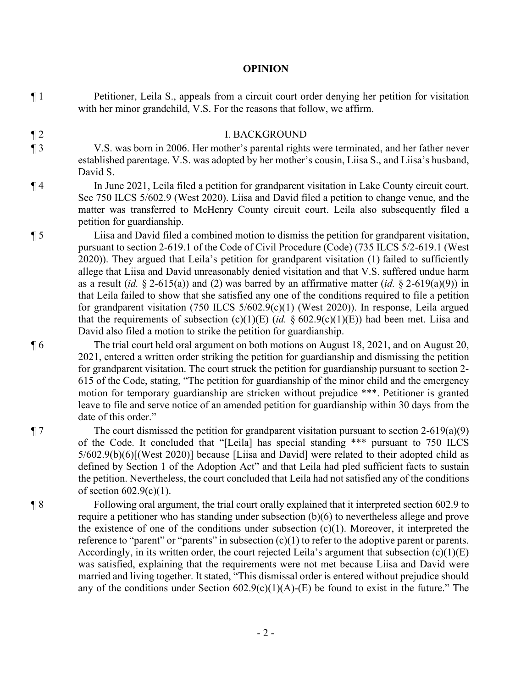#### **OPINION**

¶ 1 Petitioner, Leila S., appeals from a circuit court order denying her petition for visitation with her minor grandchild, V.S. For the reasons that follow, we affirm.

### ¶ 2 I. BACKGROUND

¶ 3 V.S. was born in 2006. Her mother's parental rights were terminated, and her father never established parentage. V.S. was adopted by her mother's cousin, Liisa S., and Liisa's husband, David S.

- ¶ 4 In June 2021, Leila filed a petition for grandparent visitation in Lake County circuit court. See 750 ILCS 5/602.9 (West 2020). Liisa and David filed a petition to change venue, and the matter was transferred to McHenry County circuit court. Leila also subsequently filed a petition for guardianship.
- ¶ 5 Liisa and David filed a combined motion to dismiss the petition for grandparent visitation, pursuant to section 2-619.1 of the Code of Civil Procedure (Code) (735 ILCS 5/2-619.1 (West 2020)). They argued that Leila's petition for grandparent visitation (1) failed to sufficiently allege that Liisa and David unreasonably denied visitation and that V.S. suffered undue harm as a result (*id.* § 2-615(a)) and (2) was barred by an affirmative matter (*id.* § 2-619(a)(9)) in that Leila failed to show that she satisfied any one of the conditions required to file a petition for grandparent visitation (750 ILCS 5/602.9(c)(1) (West 2020)). In response, Leila argued that the requirements of subsection (c)(1)(E) (*id.* § 602.9(c)(1)(E)) had been met. Liisa and David also filed a motion to strike the petition for guardianship.
- ¶ 6 The trial court held oral argument on both motions on August 18, 2021, and on August 20, 2021, entered a written order striking the petition for guardianship and dismissing the petition for grandparent visitation. The court struck the petition for guardianship pursuant to section 2- 615 of the Code, stating, "The petition for guardianship of the minor child and the emergency motion for temporary guardianship are stricken without prejudice \*\*\*. Petitioner is granted leave to file and serve notice of an amended petition for guardianship within 30 days from the date of this order."

 $\P$  7 The court dismissed the petition for grandparent visitation pursuant to section 2-619(a)(9) of the Code. It concluded that "[Leila] has special standing \*\*\* pursuant to 750 ILCS 5/602.9(b)(6)[(West 2020)] because [Liisa and David] were related to their adopted child as defined by Section 1 of the Adoption Act" and that Leila had pled sufficient facts to sustain the petition. Nevertheless, the court concluded that Leila had not satisfied any of the conditions of section  $602.9(c)(1)$ .

¶ 8 Following oral argument, the trial court orally explained that it interpreted section 602.9 to require a petitioner who has standing under subsection (b)(6) to nevertheless allege and prove the existence of one of the conditions under subsection  $(c)(1)$ . Moreover, it interpreted the reference to "parent" or "parents" in subsection  $(c)(1)$  to refer to the adoptive parent or parents. Accordingly, in its written order, the court rejected Leila's argument that subsection  $(c)(1)(E)$ was satisfied, explaining that the requirements were not met because Liisa and David were married and living together. It stated, "This dismissal order is entered without prejudice should any of the conditions under Section  $602.9(c)(1)(A)$ -(E) be found to exist in the future." The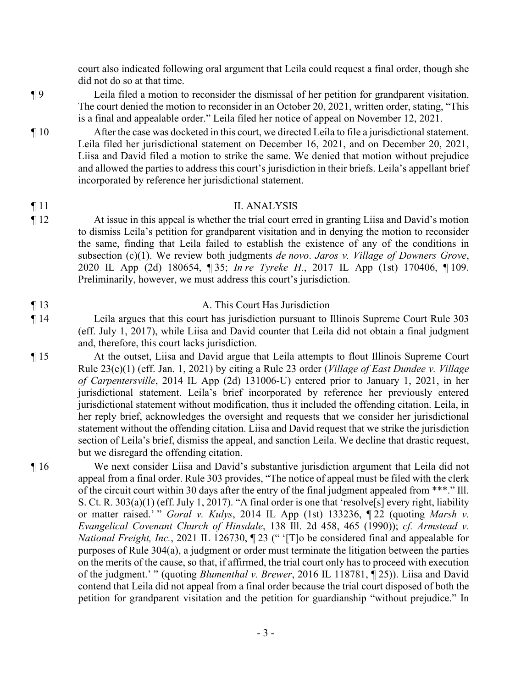court also indicated following oral argument that Leila could request a final order, though she did not do so at that time.

- ¶ 9 Leila filed a motion to reconsider the dismissal of her petition for grandparent visitation. The court denied the motion to reconsider in an October 20, 2021, written order, stating, "This is a final and appealable order." Leila filed her notice of appeal on November 12, 2021.
- ¶ 10 After the case was docketed in this court, we directed Leila to file a jurisdictional statement. Leila filed her jurisdictional statement on December 16, 2021, and on December 20, 2021, Liisa and David filed a motion to strike the same. We denied that motion without prejudice and allowed the parties to address this court's jurisdiction in their briefs. Leila's appellant brief incorporated by reference her jurisdictional statement.

#### ¶ 11 II. ANALYSIS

¶ 12 At issue in this appeal is whether the trial court erred in granting Liisa and David's motion to dismiss Leila's petition for grandparent visitation and in denying the motion to reconsider the same, finding that Leila failed to establish the existence of any of the conditions in subsection (c)(1). We review both judgments *de novo*. *Jaros v. Village of Downers Grove*, 2020 IL App (2d) 180654, ¶ 35; *In re Tyreke H.*, 2017 IL App (1st) 170406, ¶ 109. Preliminarily, however, we must address this court's jurisdiction.

### ¶ 13 A. This Court Has Jurisdiction

¶ 14 Leila argues that this court has jurisdiction pursuant to Illinois Supreme Court Rule 303 (eff. July 1, 2017), while Liisa and David counter that Leila did not obtain a final judgment and, therefore, this court lacks jurisdiction.

¶ 15 At the outset, Liisa and David argue that Leila attempts to flout Illinois Supreme Court Rule 23(e)(1) (eff. Jan. 1, 2021) by citing a Rule 23 order (*Village of East Dundee v. Village of Carpentersville*, 2014 IL App (2d) 131006-U) entered prior to January 1, 2021, in her jurisdictional statement. Leila's brief incorporated by reference her previously entered jurisdictional statement without modification, thus it included the offending citation. Leila, in her reply brief, acknowledges the oversight and requests that we consider her jurisdictional statement without the offending citation. Liisa and David request that we strike the jurisdiction section of Leila's brief, dismiss the appeal, and sanction Leila. We decline that drastic request, but we disregard the offending citation.

¶ 16 We next consider Liisa and David's substantive jurisdiction argument that Leila did not appeal from a final order. Rule 303 provides, "The notice of appeal must be filed with the clerk of the circuit court within 30 days after the entry of the final judgment appealed from \*\*\*." Ill. S. Ct. R. 303(a)(1) (eff. July 1, 2017). "A final order is one that 'resolve[s] every right, liability or matter raised.' " *Goral v. Kulys*, 2014 IL App (1st) 133236, ¶ 22 (quoting *Marsh v. Evangelical Covenant Church of Hinsdale*, 138 Ill. 2d 458, 465 (1990)); *cf. Armstead v. National Freight, Inc.*, 2021 IL 126730, ¶ 23 (" '[T]o be considered final and appealable for purposes of Rule 304(a), a judgment or order must terminate the litigation between the parties on the merits of the cause, so that, if affirmed, the trial court only has to proceed with execution of the judgment.' " (quoting *Blumenthal v. Brewer*, 2016 IL 118781, ¶ 25)). Liisa and David contend that Leila did not appeal from a final order because the trial court disposed of both the petition for grandparent visitation and the petition for guardianship "without prejudice." In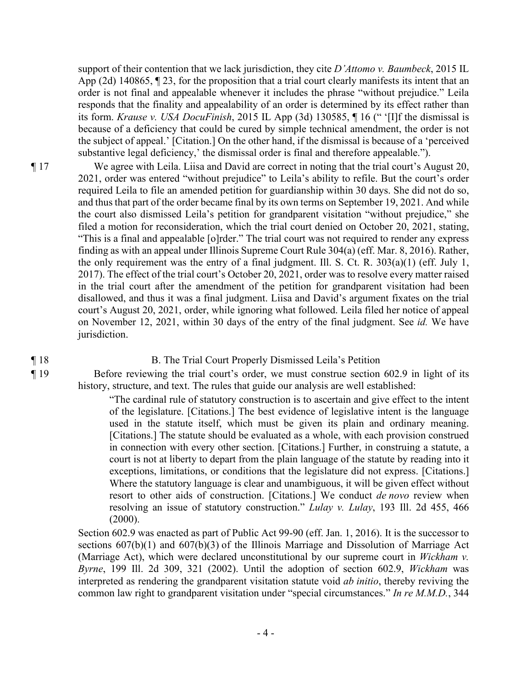support of their contention that we lack jurisdiction, they cite *D'Attomo v. Baumbeck*, 2015 IL App (2d) 140865, ¶ 23, for the proposition that a trial court clearly manifests its intent that an order is not final and appealable whenever it includes the phrase "without prejudice." Leila responds that the finality and appealability of an order is determined by its effect rather than its form. *Krause v. USA DocuFinish*, 2015 IL App (3d) 130585, ¶ 16 (" '[I]f the dismissal is because of a deficiency that could be cured by simple technical amendment, the order is not the subject of appeal.' [Citation.] On the other hand, if the dismissal is because of a 'perceived substantive legal deficiency,' the dismissal order is final and therefore appealable.").

¶ 17 We agree with Leila. Liisa and David are correct in noting that the trial court's August 20, 2021, order was entered "without prejudice" to Leila's ability to refile. But the court's order required Leila to file an amended petition for guardianship within 30 days. She did not do so, and thus that part of the order became final by its own terms on September 19, 2021. And while the court also dismissed Leila's petition for grandparent visitation "without prejudice," she filed a motion for reconsideration, which the trial court denied on October 20, 2021, stating, "This is a final and appealable [o]rder." The trial court was not required to render any express finding as with an appeal under Illinois Supreme Court Rule 304(a) (eff. Mar. 8, 2016). Rather, the only requirement was the entry of a final judgment. Ill. S. Ct. R. 303(a)(1) (eff. July 1, 2017). The effect of the trial court's October 20, 2021, order was to resolve every matter raised in the trial court after the amendment of the petition for grandparent visitation had been disallowed, and thus it was a final judgment. Liisa and David's argument fixates on the trial court's August 20, 2021, order, while ignoring what followed. Leila filed her notice of appeal on November 12, 2021, within 30 days of the entry of the final judgment. See *id.* We have jurisdiction.

#### ¶ 18 B. The Trial Court Properly Dismissed Leila's Petition

¶ 19 Before reviewing the trial court's order, we must construe section 602.9 in light of its history, structure, and text. The rules that guide our analysis are well established:

> "The cardinal rule of statutory construction is to ascertain and give effect to the intent of the legislature. [Citations.] The best evidence of legislative intent is the language used in the statute itself, which must be given its plain and ordinary meaning. [Citations.] The statute should be evaluated as a whole, with each provision construed in connection with every other section. [Citations.] Further, in construing a statute, a court is not at liberty to depart from the plain language of the statute by reading into it exceptions, limitations, or conditions that the legislature did not express. [Citations.] Where the statutory language is clear and unambiguous, it will be given effect without resort to other aids of construction. [Citations.] We conduct *de novo* review when resolving an issue of statutory construction." *Lulay v. Lulay*, 193 Ill. 2d 455, 466  $(2000).$

Section 602.9 was enacted as part of Public Act 99-90 (eff. Jan. 1, 2016). It is the successor to sections 607(b)(1) and 607(b)(3) of the Illinois Marriage and Dissolution of Marriage Act (Marriage Act), which were declared unconstitutional by our supreme court in *Wickham v. Byrne*, 199 Ill. 2d 309, 321 (2002). Until the adoption of section 602.9, *Wickham* was interpreted as rendering the grandparent visitation statute void *ab initio*, thereby reviving the common law right to grandparent visitation under "special circumstances." *In re M.M.D.*, 344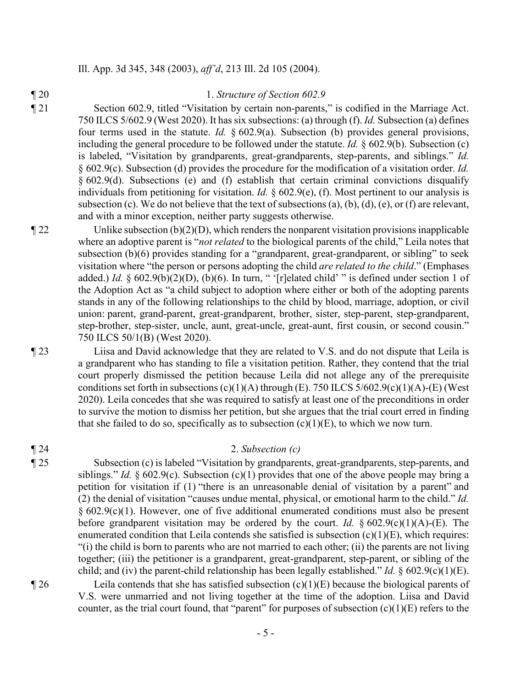#### Ill. App. 3d 345, 348 (2003), *aff'd*, 213 Ill. 2d 105 (2004).

#### ¶ 20 1. *Structure of Section 602.9*

¶ 21 Section 602.9, titled "Visitation by certain non-parents," is codified in the Marriage Act. 750 ILCS 5/602.9 (West 2020). It has six subsections: (a) through (f). *Id.* Subsection (a) defines four terms used in the statute. *Id.* § 602.9(a). Subsection (b) provides general provisions, including the general procedure to be followed under the statute. *Id.* § 602.9(b). Subsection (c) is labeled, "Visitation by grandparents, great-grandparents, step-parents, and siblings." *Id.*  § 602.9(c). Subsection (d) provides the procedure for the modification of a visitation order. *Id.*  § 602.9(d). Subsections (e) and (f) establish that certain criminal convictions disqualify individuals from petitioning for visitation. *Id.* § 602.9(e), (f). Most pertinent to our analysis is subsection (c). We do not believe that the text of subsections (a), (b), (d), (e), or (f) are relevant, and with a minor exception, neither party suggests otherwise.

 $\parallel$  22 Unlike subsection (b)(2)(D), which renders the nonparent visitation provisions inapplicable where an adoptive parent is "*not related* to the biological parents of the child," Leila notes that subsection (b)(6) provides standing for a "grandparent, great-grandparent, or sibling" to seek visitation where "the person or persons adopting the child *are related to the child*." (Emphases added.) *Id.* § 602.9(b)(2)(D), (b)(6). In turn, " '[r]elated child' " is defined under section 1 of the Adoption Act as "a child subject to adoption where either or both of the adopting parents stands in any of the following relationships to the child by blood, marriage, adoption, or civil union: parent, grand-parent, great-grandparent, brother, sister, step-parent, step-grandparent, step-brother, step-sister, uncle, aunt, great-uncle, great-aunt, first cousin, or second cousin." 750 ILCS 50/1(B) (West 2020).

¶ 23 Liisa and David acknowledge that they are related to V.S. and do not dispute that Leila is a grandparent who has standing to file a visitation petition. Rather, they contend that the trial court properly dismissed the petition because Leila did not allege any of the prerequisite conditions set forth in subsections  $(c)(1)(A)$  through  $(E)$ . 750 ILCS 5/602.9(c)(1)(A)-(E) (West 2020). Leila concedes that she was required to satisfy at least one of the preconditions in order to survive the motion to dismiss her petition, but she argues that the trial court erred in finding that she failed to do so, specifically as to subsection  $(c)(1)(E)$ , to which we now turn.

#### ¶ 24 2. *Subsection (c)*

¶ 25 Subsection (c) is labeled "Visitation by grandparents, great-grandparents, step-parents, and siblings." *Id.* § 602.9(c). Subsection (c)(1) provides that one of the above people may bring a petition for visitation if (1) "there is an unreasonable denial of visitation by a parent" and (2) the denial of visitation "causes undue mental, physical, or emotional harm to the child." *Id.* § 602.9(c)(1). However, one of five additional enumerated conditions must also be present before grandparent visitation may be ordered by the court. *Id.* § 602.9(c)(1)(A)-(E). The enumerated condition that Leila contends she satisfied is subsection  $(c)(1)(E)$ , which requires: "(i) the child is born to parents who are not married to each other; (ii) the parents are not living together; (iii) the petitioner is a grandparent, great-grandparent, step-parent, or sibling of the child; and (iv) the parent-child relationship has been legally established." *Id.* § 602.9(c)(1)(E).

 $\parallel$  26 Leila contends that she has satisfied subsection (c)(1)(E) because the biological parents of V.S. were unmarried and not living together at the time of the adoption. Liisa and David counter, as the trial court found, that "parent" for purposes of subsection  $(c)(1)(E)$  refers to the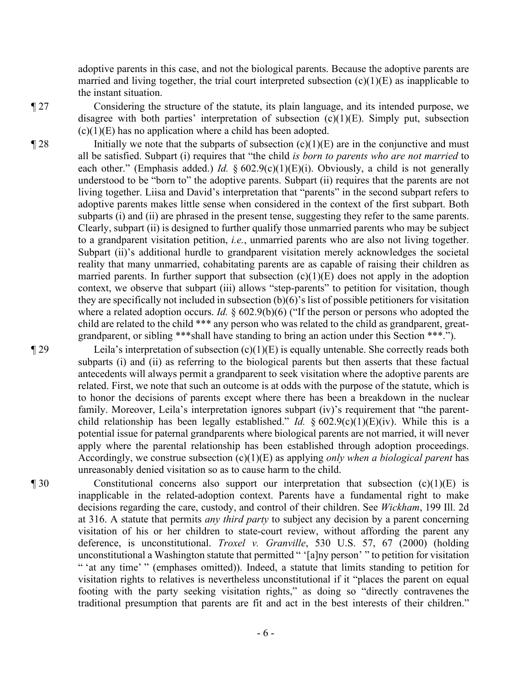adoptive parents in this case, and not the biological parents. Because the adoptive parents are married and living together, the trial court interpreted subsection  $(c)(1)(E)$  as inapplicable to the instant situation.

¶ 27 Considering the structure of the statute, its plain language, and its intended purpose, we disagree with both parties' interpretation of subsection  $(c)(1)(E)$ . Simply put, subsection  $(c)(1)(E)$  has no application where a child has been adopted.

 $\llbracket 28$  Initially we note that the subparts of subsection (c)(1)(E) are in the conjunctive and must all be satisfied. Subpart (i) requires that "the child *is born to parents who are not married* to each other." (Emphasis added.) *Id.* § 602.9(c)(1)(E)(i). Obviously, a child is not generally understood to be "born to" the adoptive parents. Subpart (ii) requires that the parents are not living together. Liisa and David's interpretation that "parents" in the second subpart refers to adoptive parents makes little sense when considered in the context of the first subpart. Both subparts (i) and (ii) are phrased in the present tense, suggesting they refer to the same parents. Clearly, subpart (ii) is designed to further qualify those unmarried parents who may be subject to a grandparent visitation petition, *i.e.*, unmarried parents who are also not living together. Subpart (ii)'s additional hurdle to grandparent visitation merely acknowledges the societal reality that many unmarried, cohabitating parents are as capable of raising their children as married parents. In further support that subsection  $(c)(1)(E)$  does not apply in the adoption context, we observe that subpart (iii) allows "step-parents" to petition for visitation, though they are specifically not included in subsection (b)(6)'s list of possible petitioners for visitation where a related adoption occurs. *Id.* § 602.9(b)(6) ("If the person or persons who adopted the child are related to the child \*\*\* any person who was related to the child as grandparent, greatgrandparent, or sibling \*\*\*shall have standing to bring an action under this Section \*\*\*.").

 $\P$  29 Leila's interpretation of subsection (c)(1)(E) is equally untenable. She correctly reads both subparts (i) and (ii) as referring to the biological parents but then asserts that these factual antecedents will always permit a grandparent to seek visitation where the adoptive parents are related. First, we note that such an outcome is at odds with the purpose of the statute, which is to honor the decisions of parents except where there has been a breakdown in the nuclear family. Moreover, Leila's interpretation ignores subpart (iv)'s requirement that "the parentchild relationship has been legally established." *Id.* § 602.9(c)(1)(E)(iv). While this is a potential issue for paternal grandparents where biological parents are not married, it will never apply where the parental relationship has been established through adoption proceedings. Accordingly, we construe subsection (c)(1)(E) as applying *only when a biological parent* has unreasonably denied visitation so as to cause harm to the child.

¶ 30 Constitutional concerns also support our interpretation that subsection (c)(1)(E) is inapplicable in the related-adoption context. Parents have a fundamental right to make decisions regarding the care, custody, and control of their children. See *Wickham*, 199 Ill. 2d at 316. A statute that permits *any third party* to subject any decision by a parent concerning visitation of his or her children to state-court review, without affording the parent any deference, is unconstitutional. *Troxel v. Granville*, 530 U.S. 57, 67 (2000) (holding unconstitutional a Washington statute that permitted " '[a]ny person' " to petition for visitation " 'at any time' " (emphases omitted)). Indeed, a statute that limits standing to petition for visitation rights to relatives is nevertheless unconstitutional if it "places the parent on equal footing with the party seeking visitation rights," as doing so "directly contravenes the traditional presumption that parents are fit and act in the best interests of their children."